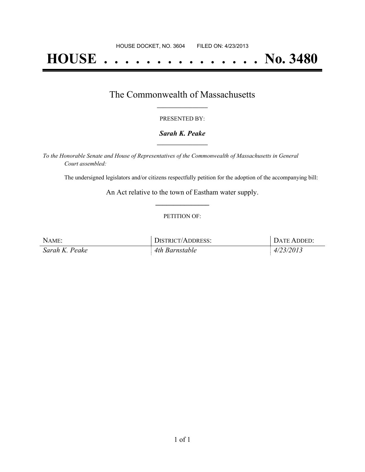# **HOUSE . . . . . . . . . . . . . . . No. 3480**

### The Commonwealth of Massachusetts **\_\_\_\_\_\_\_\_\_\_\_\_\_\_\_\_\_**

#### PRESENTED BY:

#### *Sarah K. Peake* **\_\_\_\_\_\_\_\_\_\_\_\_\_\_\_\_\_**

*To the Honorable Senate and House of Representatives of the Commonwealth of Massachusetts in General Court assembled:*

The undersigned legislators and/or citizens respectfully petition for the adoption of the accompanying bill:

An Act relative to the town of Eastham water supply. **\_\_\_\_\_\_\_\_\_\_\_\_\_\_\_**

#### PETITION OF:

| NAME:          | DISTRICT/ADDRESS: | DATE ADDED: |
|----------------|-------------------|-------------|
| Sarah K. Peake | 4th Barnstable    | 4/23/2013   |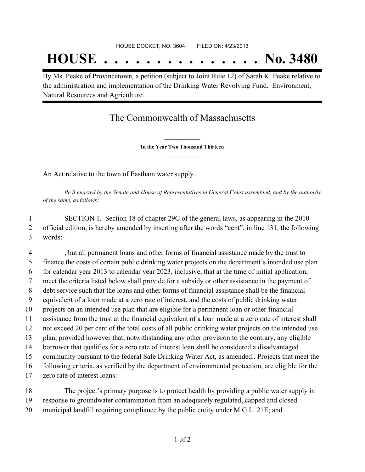## **HOUSE . . . . . . . . . . . . . . . No. 3480**

By Ms. Peake of Provincetown, a petition (subject to Joint Rule 12) of Sarah K. Peake relative to the administration and implementation of the Drinking Water Revolving Fund. Environment, Natural Resources and Agriculture.

## The Commonwealth of Massachusetts

**\_\_\_\_\_\_\_\_\_\_\_\_\_\_\_ In the Year Two Thousand Thirteen \_\_\_\_\_\_\_\_\_\_\_\_\_\_\_**

An Act relative to the town of Eastham water supply.

Be it enacted by the Senate and House of Representatives in General Court assembled, and by the authority *of the same, as follows:*

 SECTION 1. Section 18 of chapter 29C of the general laws, as appearing in the 2010 official edition, is hereby amended by inserting after the words "cent", in line 131, the following words:-

 , but all permanent loans and other forms of financial assistance made by the trust to finance the costs of certain public drinking water projects on the department's intended use plan for calendar year 2013 to calendar year 2023, inclusive, that at the time of initial application, meet the criteria listed below shall provide for a subsidy or other assistance in the payment of debt service such that the loans and other forms of financial assistance shall be the financial equivalent of a loan made at a zero rate of interest, and the costs of public drinking water projects on an intended use plan that are eligible for a permanent loan or other financial assistance from the trust at the financial equivalent of a loan made at a zero rate of interest shall not exceed 20 per cent of the total costs of all public drinking water projects on the intended use plan, provided however that, notwithstanding any other provision to the contrary, any eligible borrower that qualifies for a zero rate of interest loan shall be considered a disadvantaged community pursuant to the federal Safe Drinking Water Act, as amended.. Projects that meet the following criteria, as verified by the department of environmental protection, are eligible for the zero rate of interest loans:

 The project's primary purpose is to protect health by providing a public water supply in response to groundwater contamination from an adequately regulated, capped and closed municipal landfill requiring compliance by the public entity under M.G.L. 21E; and